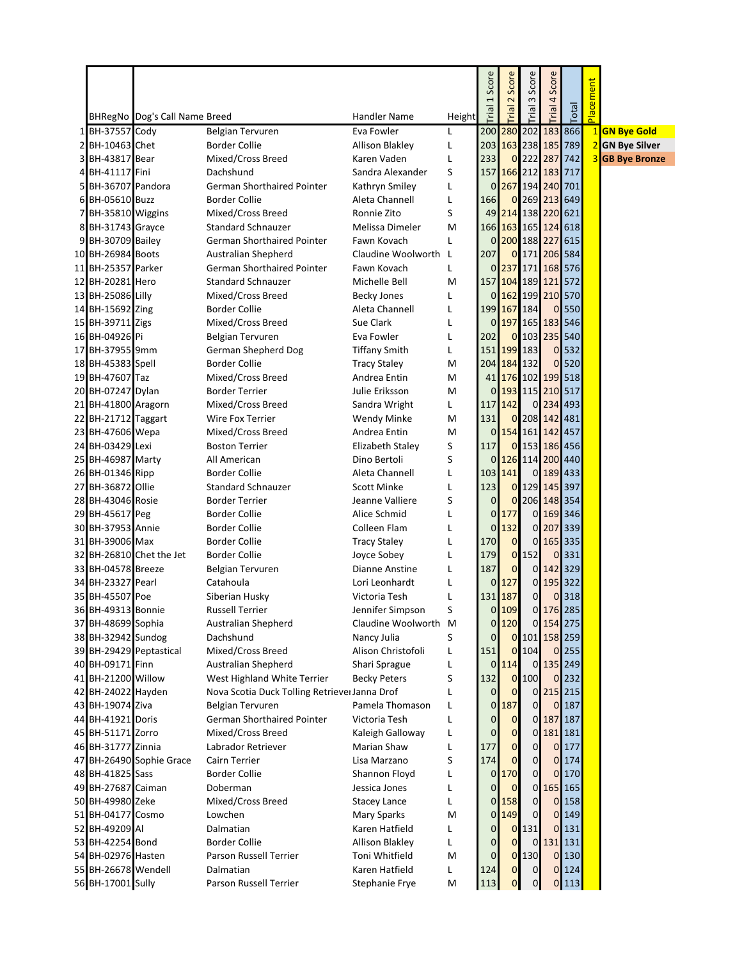|                                        |                               |                                                 |                                     |              | Score          | Score                       | Score                             | Score          |                |           |                        |
|----------------------------------------|-------------------------------|-------------------------------------------------|-------------------------------------|--------------|----------------|-----------------------------|-----------------------------------|----------------|----------------|-----------|------------------------|
|                                        |                               |                                                 |                                     |              | 1              | $\mathbf{z}$                | $\sim$                            | 4              |                | Placement |                        |
|                                        | BHRegNo Dog's Call Name Breed |                                                 | Handler Name                        | Height       | leiu.          | Trial                       | lial                              | Trial          | Total          |           |                        |
| 1 BH-37557 Cody                        |                               | Belgian Tervuren                                | Eva Fowler                          | L            | 200            |                             | 280 202 183 866                   |                |                |           | 1 GN Bye Gold          |
| 2 BH-10463 Chet                        |                               | <b>Border Collie</b>                            | Allison Blakley                     | L            |                |                             | 203 163 238 185 789               |                |                |           | 2 GN Bye Silver        |
| 3 BH-43817 Bear                        |                               | Mixed/Cross Breed                               | Karen Vaden                         | L            | 233            |                             | 0 222 287 742                     |                |                |           | <b>3</b> GB Bye Bronze |
| 4 BH-41117 Fini                        |                               | Dachshund                                       | Sandra Alexander                    | S            | 157            |                             | 166 212 183 717                   |                |                |           |                        |
| 5 BH-36707 Pandora                     |                               | German Shorthaired Pointer                      | Kathryn Smiley                      | L            | 0              |                             | 267 194 240 701                   |                |                |           |                        |
| 6 BH-05610 Buzz                        |                               | <b>Border Collie</b>                            | Aleta Channell                      | L            | 166            |                             | 0 269 213 649                     |                |                |           |                        |
| 7 BH-35810 Wiggins                     |                               | Mixed/Cross Breed                               | Ronnie Zito                         | S            | 49             |                             | 214 138 220 621                   |                |                |           |                        |
| 8 BH-31743 Grayce                      |                               | <b>Standard Schnauzer</b>                       | Melissa Dimeler                     | M            |                |                             | 166 163 165 124 618               |                |                |           |                        |
| 9 BH-30709 Bailey                      |                               | <b>German Shorthaired Pointer</b>               | Fawn Kovach                         | L            | $\overline{0}$ |                             | 200 188 227                       |                | 615            |           |                        |
| 10 BH-26984 Boots                      |                               | Australian Shepherd                             | Claudine Woolworth L                |              | 207            |                             | 0 171 206 584                     |                |                |           |                        |
| 11 BH-25357 Parker                     |                               | German Shorthaired Pointer                      | Fawn Kovach                         | L            | 0              |                             | 237 171 168 576                   |                |                |           |                        |
| 12 BH-20281 Hero                       |                               | <b>Standard Schnauzer</b>                       | Michelle Bell                       | M            |                |                             | 157 104 189 121 572               |                |                |           |                        |
| 13 BH-25086 Lilly                      |                               | Mixed/Cross Breed                               | <b>Becky Jones</b>                  | L            |                |                             | 0 162 199 210 570                 |                |                |           |                        |
| 14 BH-15692 Zing                       |                               | <b>Border Collie</b>                            | Aleta Channell                      | L            |                |                             | 199 167 184                       |                | 0 550          |           |                        |
| 15 BH-39711 Zigs                       |                               | Mixed/Cross Breed                               | Sue Clark                           | L            | 0              |                             | 197 165 183 546                   |                |                |           |                        |
| 16 BH-04926 Pi                         |                               | Belgian Tervuren                                | Eva Fowler                          | L            | 202            |                             | 0 103 235 540                     |                |                |           |                        |
| 17 BH-37955 9mm<br>18 BH-45383 Spell   |                               | German Shepherd Dog                             | <b>Tiffany Smith</b>                | L            |                | 151 199 183                 |                                   |                | 0 532<br>0 520 |           |                        |
| 19 BH-47607 Taz                        |                               | <b>Border Collie</b><br>Mixed/Cross Breed       | <b>Tracy Staley</b><br>Andrea Entin | M<br>М       |                |                             | 204 184 132<br>41 176 102 199 518 |                |                |           |                        |
| 20 BH-07247 Dylan                      |                               | <b>Border Terrier</b>                           | Julie Eriksson                      | M            | 0              |                             | 193 115 210 517                   |                |                |           |                        |
| 21 BH-41800 Aragorn                    |                               | Mixed/Cross Breed                               | Sandra Wright                       | L            | 117            | 142                         |                                   | 0 234 493      |                |           |                        |
| 22 BH-21712 Taggart                    |                               | Wire Fox Terrier                                | <b>Wendy Minke</b>                  | M            | 131            |                             | 0 208 142 481                     |                |                |           |                        |
| 23 BH-47606 Wepa                       |                               | Mixed/Cross Breed                               | Andrea Entin                        | M            | 0              |                             | 154 161 142 457                   |                |                |           |                        |
| 24 BH-03429 Lexi                       |                               | <b>Boston Terrier</b>                           | Elizabeth Staley                    | S            | 117            |                             | 0 153 186 456                     |                |                |           |                        |
| 25 BH-46987 Marty                      |                               | All American                                    | Dino Bertoli                        | S            | 0              |                             | 126 114 200 440                   |                |                |           |                        |
| 26 BH-01346 Ripp                       |                               | <b>Border Collie</b>                            | Aleta Channell                      | L            |                | 103 141                     |                                   | 0 189 433      |                |           |                        |
| 27 BH-36872 Ollie                      |                               | <b>Standard Schnauzer</b>                       | <b>Scott Minke</b>                  | L            | 123            |                             | 0 129 145 397                     |                |                |           |                        |
| 28 BH-43046 Rosie                      |                               | <b>Border Terrier</b>                           | Jeanne Valliere                     | S            | $\overline{0}$ |                             | 0 206 148 354                     |                |                |           |                        |
| 29 BH-45617 Peg                        |                               | <b>Border Collie</b>                            | Alice Schmid                        | L            | 0              | 177                         | $\mathbf{0}$                      | 169 346        |                |           |                        |
| 30 BH-37953 Annie                      |                               | <b>Border Collie</b>                            | Colleen Flam                        | L            | 0              | 132                         | 01                                | 207 339        |                |           |                        |
| 31 BH-39006 Max                        |                               | <b>Border Collie</b>                            | <b>Tracy Staley</b>                 | L            | 170            | $\overline{0}$              | $\overline{0}$                    | 165 335        |                |           |                        |
|                                        | 32 BH-26810 Chet the Jet      | <b>Border Collie</b>                            | Joyce Sobey                         | L            | 179            |                             | $0$ 152                           | $\overline{0}$ | 331            |           |                        |
| 33 BH-04578 Breeze                     |                               | <b>Belgian Tervuren</b>                         | Dianne Anstine                      | L            | 187            | $\mathbf{0}$                | $\overline{0}$                    | 142 329        |                |           |                        |
| 34 BH-23327 Pearl                      |                               | Catahoula                                       | Lori Leonhardt                      | L            |                | $0$ 127                     | $\overline{0}$                    | 195 322        |                |           |                        |
| 35 BH-45507 Poe                        |                               | Siberian Husky                                  | Victoria Tesh                       | L            |                | 131 187                     | 0                                 |                | 0 318          |           |                        |
| 36 BH-49313 Bonnie                     |                               | <b>Russell Terrier</b>                          | Jennifer Simpson                    | S            | 0              | 109                         |                                   | 0 176 285      |                |           |                        |
| 37 BH-48699 Sophia                     |                               | Australian Shepherd                             | Claudine Woolworth M                |              | 0              | 120                         |                                   | 0 154 275      |                |           |                        |
| 38 BH-32942 Sundog                     |                               | Dachshund                                       | Nancy Julia                         | S            | 0              |                             | 0 101 158 259                     |                |                |           |                        |
|                                        | 39 BH-29429 Peptastical       | Mixed/Cross Breed                               | Alison Christofoli                  | L            | 151            |                             | $0$ 104                           |                | 0 255          |           |                        |
| 40 BH-09171 Finn                       |                               | Australian Shepherd                             | Shari Sprague                       | L            | 0              | 114                         | $\overline{0}$                    | 135 249        |                |           |                        |
| 41 BH-21200 Willow                     |                               | West Highland White Terrier                     | <b>Becky Peters</b>                 | S            | 132            |                             | $0$ 100                           |                | 0 232          |           |                        |
| 42 BH-24022 Hayden                     |                               | Nova Scotia Duck Tolling Retriever Janna Drof   |                                     | $\mathbf{L}$ | 0              | $\overline{0}$              | $\overline{0}$                    | 215 215        |                |           |                        |
| 43 BH-19074 Ziva                       |                               | Belgian Tervuren                                | Pamela Thomason                     | L            | $\overline{0}$ | 187                         | $\overline{0}$                    |                | 0 187          |           |                        |
| 44 BH-41921 Doris<br>45 BH-51171 Zorro |                               | German Shorthaired Pointer<br>Mixed/Cross Breed | Victoria Tesh                       | L            | 0<br>0         | $\mathbf{O}$<br>$\mathbf 0$ | $\mathbf{0}$<br>$\overline{O}$    | 187 187        |                |           |                        |
| 46 BH-31777 Zinnia                     |                               | Labrador Retriever                              | Kaleigh Galloway<br>Marian Shaw     | L<br>L       | 177            | $\mathbf{0}$                | 0                                 | 181 181        | 0 177          |           |                        |
|                                        | 47 BH-26490 Sophie Grace      | Cairn Terrier                                   | Lisa Marzano                        | S            | 174            | $\overline{0}$              | 0                                 | $\overline{0}$ | 174            |           |                        |
| 48 BH-41825 Sass                       |                               | <b>Border Collie</b>                            | Shannon Floyd                       | L            | 0              | 170                         | 0                                 | $\overline{0}$ | 170            |           |                        |
| 49 BH-27687 Caiman                     |                               | Doberman                                        | Jessica Jones                       | L            | 0              | $\mathbf 0$                 | 0                                 |                | 165 165        |           |                        |
| 50 BH-49980 Zeke                       |                               | Mixed/Cross Breed                               | <b>Stacey Lance</b>                 | L            | $\overline{0}$ | 158                         | 0                                 |                | 0 158          |           |                        |
| 51 BH-04177 Cosmo                      |                               | Lowchen                                         | Mary Sparks                         | M            |                | 0 149                       | $\mathbf 0$                       |                | 0 149          |           |                        |
| 52 BH-49209 Al                         |                               | Dalmatian                                       | Karen Hatfield                      | L            | 0              |                             | 0 131                             |                | 0 131          |           |                        |
| 53 BH-42254 Bond                       |                               | <b>Border Collie</b>                            | <b>Allison Blakley</b>              | L            | 0              | $\mathbf{O}$                | $\overline{0}$                    | 131 131        |                |           |                        |
| 54 BH-02976 Hasten                     |                               | Parson Russell Terrier                          | Toni Whitfield                      | M            | 0              |                             | 0 130                             |                | 0 130          |           |                        |
| 55 BH-26678 Wendell                    |                               | Dalmatian                                       | Karen Hatfield                      | L            | 124            | $\overline{0}$              | $\mathbf 0$                       |                | 0 124          |           |                        |
| 56 BH-17001 Sully                      |                               | Parson Russell Terrier                          | Stephanie Frye                      | M            | 113            | $\overline{0}$              | $\pmb{0}$                         |                | 0 113          |           |                        |